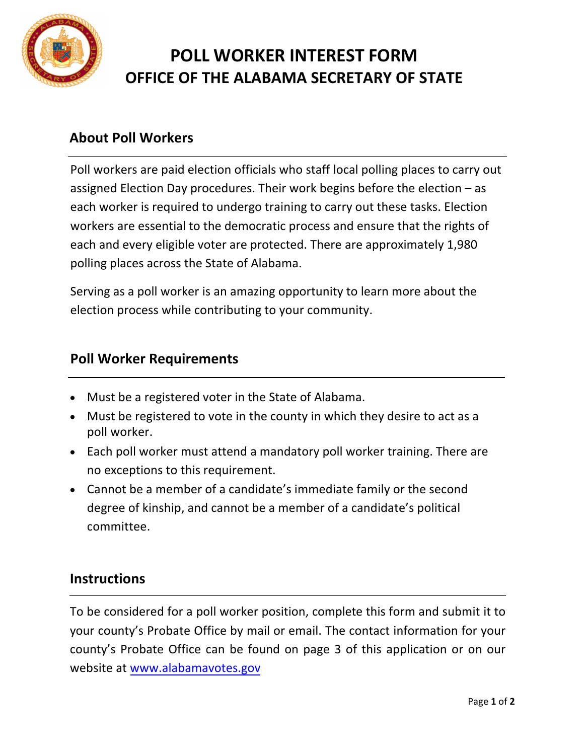

# **POLL WORKER INTEREST FORM OFFICE OF THE ALABAMA SECRETARY OF STATE**

### **About Poll Workers**

Poll workers are paid election officials who staff local polling places to carry out assigned Election Day procedures. Their work begins before the election – as each worker is required to undergo training to carry out these tasks. Election workers are essential to the democratic process and ensure that the rights of each and every eligible voter are protected. There are approximately 1,980 polling places across the State of Alabama.

Serving as a poll worker is an amazing opportunity to learn more about the election process while contributing to your community.

#### **Poll Worker Requirements**

- Must be a registered voter in the State of Alabama.
- Must be registered to vote in the county in which they desire to act as a poll worker.
- Each poll worker must attend a mandatory poll worker training. There are no exceptions to this requirement.
- Cannot be a member of a candidate's immediate family or the second degree of kinship, and cannot be a member of a candidate's political committee.

#### **Instructions**

To be considered for a poll worker position, complete this form and submit it to your county's Probate Office by mail or email. The contact information for your county's Probate Office can be found on page 3 of this application or on our website at www.alabamavotes.gov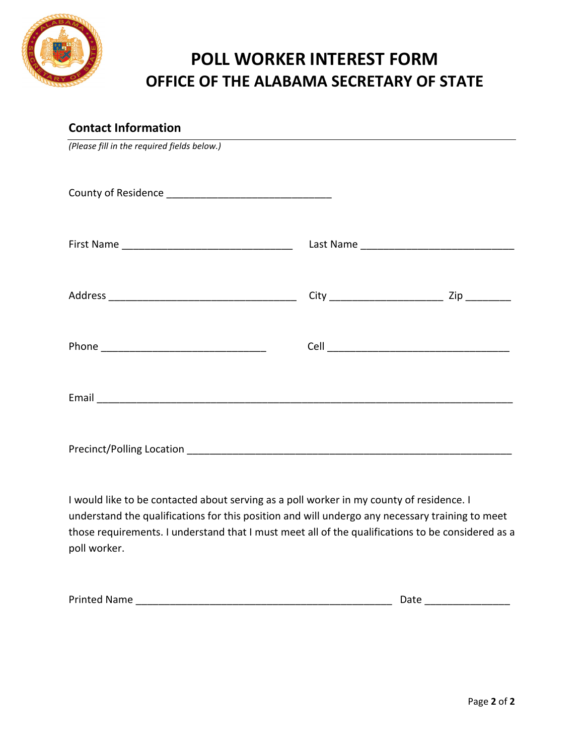

## **POLL WORKER INTEREST FORM OFFICE OF THE ALABAMA SECRETARY OF STATE**

# **Contact Information** *(Please fill in the required fields below.)*  County of Residence \_\_\_\_\_\_\_\_\_\_\_\_\_\_\_\_\_\_\_\_\_\_\_\_\_\_\_\_\_ First Name \_\_\_\_\_\_\_\_\_\_\_\_\_\_\_\_\_\_\_\_\_\_\_\_\_\_\_\_\_\_ Last Name \_\_\_\_\_\_\_\_\_\_\_\_\_\_\_\_\_\_\_\_\_\_\_\_\_\_\_ Address \_\_\_\_\_\_\_\_\_\_\_\_\_\_\_\_\_\_\_\_\_\_\_\_\_\_\_\_\_\_\_\_\_ City \_\_\_\_\_\_\_\_\_\_\_\_\_\_\_\_\_\_\_\_ Zip \_\_\_\_\_\_\_\_ Phone \_\_\_\_\_\_\_\_\_\_\_\_\_\_\_\_\_\_\_\_\_\_\_\_\_\_\_\_\_ Cell \_\_\_\_\_\_\_\_\_\_\_\_\_\_\_\_\_\_\_\_\_\_\_\_\_\_\_\_\_\_\_\_ Email and the contract of the contract of the contract of the contract of the contract of the contract of the contract of the contract of the contract of the contract of the contract of the contract of the contract of the Precinct/Polling Location **Exercise 2018**

I would like to be contacted about serving as a poll worker in my county of residence. I understand the qualifications for this position and will undergo any necessary training to meet those requirements. I understand that I must meet all of the qualifications to be considered as a poll worker.

Printed Name \_\_\_\_\_\_\_\_\_\_\_\_\_\_\_\_\_\_\_\_\_\_\_\_\_\_\_\_\_\_\_\_\_\_\_\_\_\_\_\_\_\_\_\_\_ Date \_\_\_\_\_\_\_\_\_\_\_\_\_\_\_